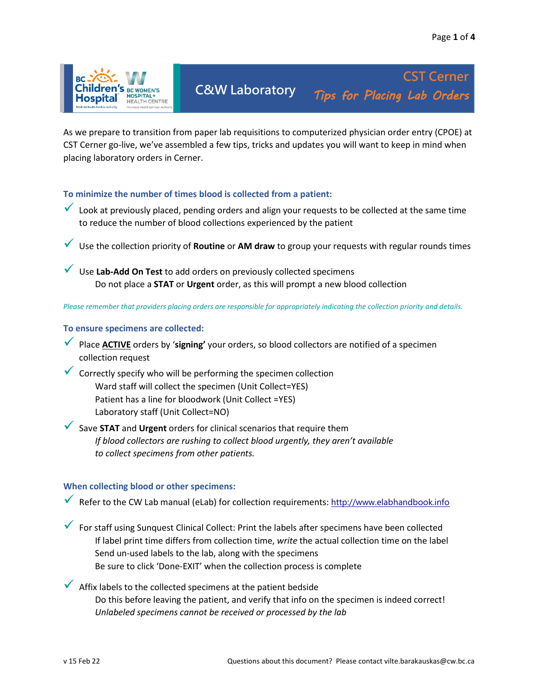

**C&W Laboratory** *Tips for Placing Lab Orders* **CST Cerner** 

As we prepare to transition from paper lab requisitions to computerized physician order entry (CPOE) at CST Cerner go-live, we've assembled a few tips, tricks and updates you will want to keep in mind when placing laboratory orders in Cerner.

# **To minimize the number of times blood is collected from a patient:**

- $\checkmark$  Look at previously placed, pending orders and align your requests to be collected at the same time to reduce the number of blood collections experienced by the patient
- Use the collection priority of **Routine** or **AM draw** to group your requests with regular rounds times
- Use **Lab-Add On Test** to add orders on previously collected specimens Do not place a **STAT** or **Urgent** order, as this will prompt a new blood collection

*Please remember that providers placing orders are responsible for appropriately indicating the collection priority and details.*

## **To ensure specimens are collected:**

- Place **ACTIVE** orders by '**signing'** your orders, so blood collectors are notified of a specimen collection request
- $\checkmark$  Correctly specify who will be performing the specimen collection Ward staff will collect the specimen (Unit Collect=YES) Patient has a line for bloodwork (Unit Collect =YES) Laboratory staff (Unit Collect=NO)
- Save **STAT** and **Urgent** orders for clinical scenarios that require them *If blood collectors are rushing to collect blood urgently, they aren't available to collect specimens from other patients.*

#### **When collecting blood or other specimens:**

- $\checkmark$  Refer to the CW Lab manual (eLab) for collection requirements: [http://www.elabhandbook.info](http://www.elabhandbook.info/)
- $\checkmark$  For staff using Sunquest Clinical Collect: Print the labels after specimens have been collected If label print time differs from collection time, *write* the actual collection time on the label Send un-used labels to the lab, along with the specimens Be sure to click 'Done-EXIT' when the collection process is complete
- $\blacktriangleright$  Affix labels to the collected specimens at the patient bedside Do this before leaving the patient, and verify that info on the specimen is indeed correct! *Unlabeled specimens cannot be received or processed by the lab*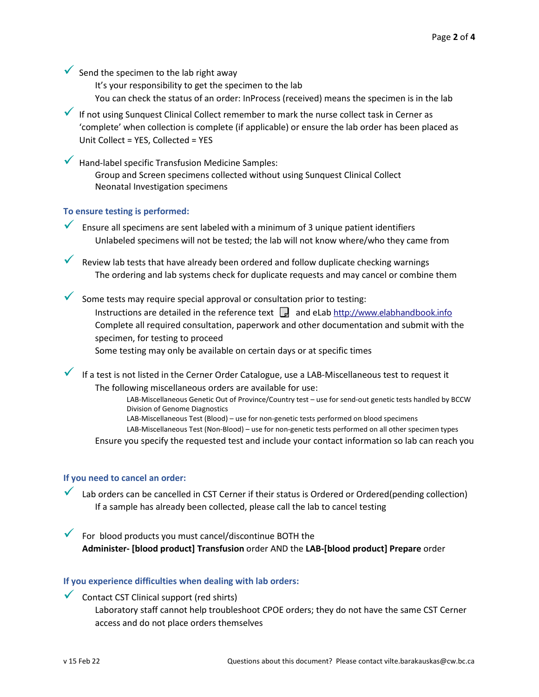Send the specimen to the lab right away

It's your responsibility to get the specimen to the lab

You can check the status of an order: InProcess (received) means the specimen is in the lab

If not using Sunquest Clinical Collect remember to mark the nurse collect task in Cerner as 'complete' when collection is complete (if applicable) or ensure the lab order has been placed as Unit Collect = YES, Collected = YES

 $\blacktriangleright$  Hand-label specific Transfusion Medicine Samples: Group and Screen specimens collected without using Sunquest Clinical Collect Neonatal Investigation specimens

## **To ensure testing is performed:**

Ensure all specimens are sent labeled with a minimum of 3 unique patient identifiers Unlabeled specimens will not be tested; the lab will not know where/who they came from

 $\checkmark$  Review lab tests that have already been ordered and follow duplicate checking warnings The ordering and lab systems check for duplicate requests and may cancel or combine them

Some tests may require special approval or consultation prior to testing: Instructions are detailed in the reference text  $\Box$  and eLab [http://www.elabhandbook.info](http://www.elabhandbook.info/) Complete all required consultation, paperwork and other documentation and submit with the specimen, for testing to proceed Some testing may only be available on certain days or at specific times

If a test is not listed in the Cerner Order Catalogue, use a LAB-Miscellaneous test to request it The following miscellaneous orders are available for use:

> LAB-Miscellaneous Genetic Out of Province/Country test – use for send-out genetic tests handled by BCCW Division of Genome Diagnostics

LAB-Miscellaneous Test (Blood) – use for non-genetic tests performed on blood specimens

LAB-Miscellaneous Test (Non-Blood) – use for non-genetic tests performed on all other specimen types

Ensure you specify the requested test and include your contact information so lab can reach you

#### **If you need to cancel an order:**

Lab orders can be cancelled in CST Cerner if their status is Ordered or Ordered(pending collection) If a sample has already been collected, please call the lab to cancel testing

 $\checkmark$  For blood products you must cancel/discontinue BOTH the **Administer- [blood product] Transfusion** order AND the **LAB-[blood product] Prepare** order

# **If you experience difficulties when dealing with lab orders:**

Contact CST Clinical support (red shirts) Laboratory staff cannot help troubleshoot CPOE orders; they do not have the same CST Cerner access and do not place orders themselves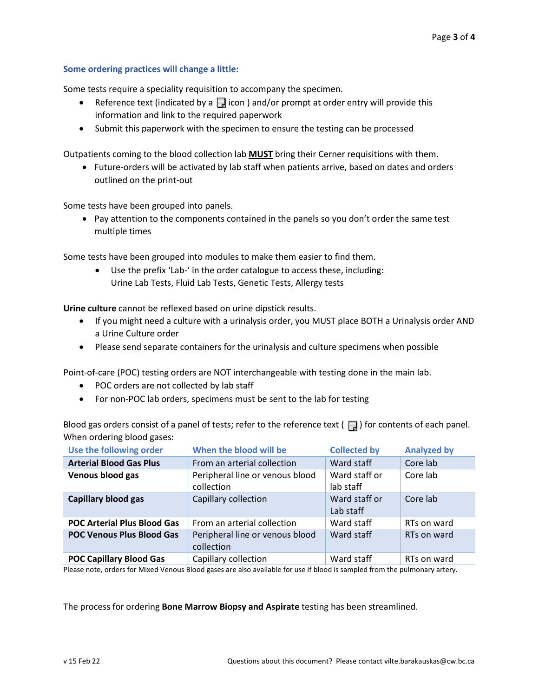### **Some ordering practices will change a little:**

Some tests require a speciality requisition to accompany the specimen.

- Reference text (indicated by a  $\Box$  icon ) and/or prompt at order entry will provide this information and link to the required paperwork
- Submit this paperwork with the specimen to ensure the testing can be processed

Outpatients coming to the blood collection lab **MUST** bring their Cerner requisitions with them.

• Future-orders will be activated by lab staff when patients arrive, based on dates and orders outlined on the print-out

Some tests have been grouped into panels.

• Pay attention to the components contained in the panels so you don't order the same test multiple times

Some tests have been grouped into modules to make them easier to find them.

• Use the prefix 'Lab-' in the order catalogue to access these, including: Urine Lab Tests, Fluid Lab Tests, Genetic Tests, Allergy tests

**Urine culture** cannot be reflexed based on urine dipstick results.

- If you might need a culture with a urinalysis order, you MUST place BOTH a Urinalysis order AND a Urine Culture order
- Please send separate containers for the urinalysis and culture specimens when possible

Point-of-care (POC) testing orders are NOT interchangeable with testing done in the main lab.

- POC orders are not collected by lab staff
- For non-POC lab orders, specimens must be sent to the lab for testing

Blood gas orders consist of a panel of tests; refer to the reference text ( $\Box$ ) for contents of each panel. When ordering blood gases:

| Use the following order            | When the blood will be                        | <b>Collected by</b>        | <b>Analyzed by</b> |
|------------------------------------|-----------------------------------------------|----------------------------|--------------------|
| <b>Arterial Blood Gas Plus</b>     | From an arterial collection                   | Ward staff                 | Core lab           |
| Venous blood gas                   | Peripheral line or venous blood<br>collection | Ward staff or<br>lab staff | Core lab           |
| Capillary blood gas                | Capillary collection                          | Ward staff or<br>Lab staff | Core lab           |
| <b>POC Arterial Plus Blood Gas</b> | From an arterial collection                   | Ward staff                 | RTs on ward        |
| <b>POC Venous Plus Blood Gas</b>   | Peripheral line or venous blood<br>collection | Ward staff                 | RTs on ward        |
| <b>POC Capillary Blood Gas</b>     | Capillary collection                          | Ward staff                 | RTs on ward        |

Please note, orders for Mixed Venous Blood gases are also available for use if blood is sampled from the pulmonary artery.

The process for ordering **Bone Marrow Biopsy and Aspirate** testing has been streamlined.